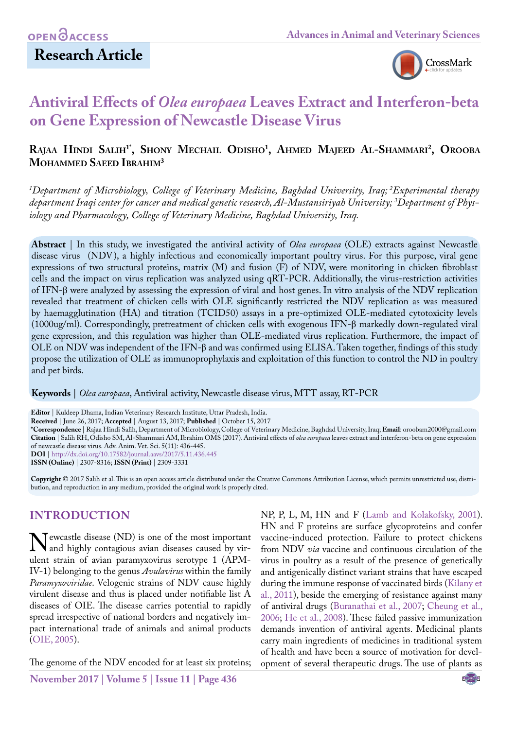# **Research Article**



# **Antiviral Effects of** *Olea europaea* **Leaves Extract and Interferon-beta on Gene Expression of Newcastle Disease Virus**

# **Rajaa Hindi Salih1\*, Shony Mechail Odisho1 , Ahmed Majeed Al-Shammari 2 , Orooba Mohammed Saeed Ibrahim3**

*1 Department of Microbiology, College of Veterinary Medicine, Baghdad University, Iraq; 2Experimental therapy department Iraqi center for cancer and medical genetic research, Al-Mustansiriyah University; 3 Department of Physiology and Pharmacology, College of Veterinary Medicine, Baghdad University, Iraq.*

**Abstract** | In this study, we investigated the antiviral activity of *Olea europaea* (OLE) extracts against Newcastle disease virus (NDV), a highly infectious and economically important poultry virus. For this purpose, viral gene expressions of two structural proteins, matrix (M) and fusion (F) of NDV, were monitoring in chicken fibroblast cells and the impact on virus replication was analyzed using qRT-PCR. Additionally, the virus-restriction activities of IFN-β were analyzed by assessing the expression of viral and host genes. In vitro analysis of the NDV replication revealed that treatment of chicken cells with OLE significantly restricted the NDV replication as was measured by haemagglutination (HA) and titration (TCID50) assays in a pre-optimized OLE-mediated cytotoxicity levels (1000ug/ml). Correspondingly, pretreatment of chicken cells with exogenous IFN-β markedly down-regulated viral gene expression, and this regulation was higher than OLE-mediated virus replication. Furthermore, the impact of OLE on NDV was independent of the IFN-β and was confirmed using ELISA. Taken together, findings of this study propose the utilization of OLE as immunoprophylaxis and exploitation of this function to control the ND in poultry and pet birds.

**Keywords** | *Olea europaea*, Antiviral activity, Newcastle disease virus, MTT assay, RT-PCR

**Editor** | Kuldeep Dhama, Indian Veterinary Research Institute, Uttar Pradesh, India.

**Received** | June 26, 2017; **Accepted** | August 13, 2017; **Published** | October 15, 2017

**\*Correspondence** | Rajaa Hindi Salih, Department of Microbiology, College of Veterinary Medicine, Baghdad University, Iraq; **Email**: oroobam2000@gmail.com **Citation** | Salih RH, Odisho SM, Al-Shammari AM, Ibrahim OMS (2017). Antiviral effects of *olea europaea* leaves extract and interferon-beta on gene expression of newcastle disease virus. Adv. Anim. Vet. Sci. 5(11): 436-445. **DOI** | <http://dx.doi.org/10.17582/journal.aavs/2017/5.11.436.445>

**ISSN (Online)** | 2307-8316; **ISSN (Print)** | 2309-3331

**Copyright** © 2017 Salih et al. This is an open access article distributed under the Creative Commons Attribution License, which permits unrestricted use, distribution, and reproduction in any medium, provided the original work is properly cited.

# **INTRODUCTION**

Newcastle disease (ND) is one of the most important<br>and highly contagious avian diseases caused by vir-<br>ulent strain of avian paramyzovirus serotype 1 (APMulent strain of avian paramyxovirus serotype 1 (APM-IV-1) belonging to the genus *Avulavirus* within the family *Paramyxoviridae*. Velogenic strains of NDV cause highly virulent disease and thus is placed under notifiable list A diseases of OIE. The disease carries potential to rapidly spread irrespective of national borders and negatively impact international trade of animals and animal products ([OIE, 2005](#page-8-0)).

The genome of the NDV encoded for at least six proteins;

**November 2017 | Volume 5 | Issue 11 | Page 436**

NP, P, L, M, HN and F [\(Lamb and Kolakofsky, 2001\)](#page-8-1). HN and F proteins are surface glycoproteins and confer vaccine-induced protection. Failure to protect chickens from NDV *via* vaccine and continuous circulation of the virus in poultry as a result of the presence of genetically and antigenically distinct variant strains that have escaped during the immune response of vaccinated birds ([Kilany et](#page-8-2) [al., 2011](#page-8-2)), beside the emerging of resistance against many of antiviral drugs ([Buranathai et al., 2007;](#page-7-0) [Cheung et al.,](#page-7-1) [2006;](#page-7-1) [He et al., 2008](#page-7-2)). These failed passive immunization demands invention of antiviral agents. Medicinal plants carry main ingredients of medicines in traditional system of health and have been a source of motivation for development of several therapeutic drugs. The use of plants as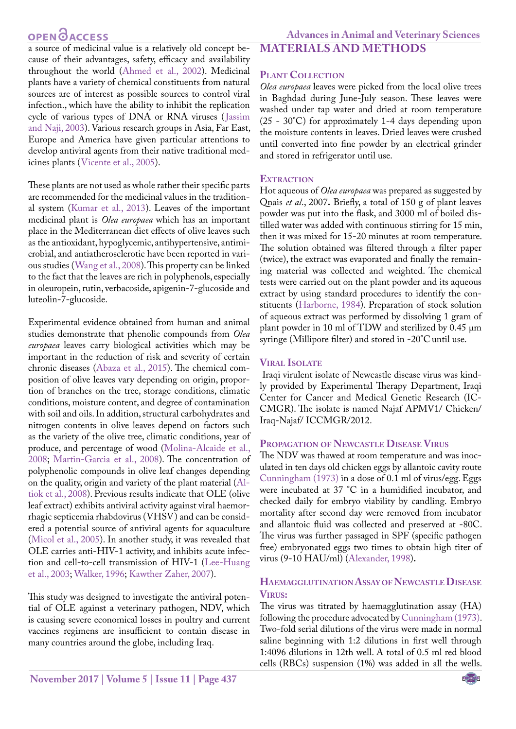# **OPEN CACCESS**

a source of medicinal value is a relatively old concept because of their advantages, safety, efficacy and availability throughout the world [\(Ahmed et al., 2002\)](#page-7-3). Medicinal plants have a variety of chemical constituents from natural sources are of interest as possible sources to control viral infection., which have the ability to inhibit the replication cycle of various types of DNA or RNA viruses ([Jassim](#page-8-3) [and Naji, 2003](#page-8-3)). Various research groups in Asia, Far East, Europe and America have given particular attentions to develop antiviral agents from their native traditional medicines plants (Vicente et al., 2005).

These plants are not used as whole rather their specific parts are recommended for the medicinal values in the traditional system ([Kumar et al., 2013\)](#page-8-4). Leaves of the important medicinal plant is *Olea europaea* which has an important place in the Mediterranean diet effects of olive leaves such as the antioxidant, hypoglycemic, antihypertensive, antimicrobial, and antiatherosclerotic have been reported in various studies (Wang et al., 2008). This property can be linked to the fact that the leaves are rich in polyphenols, especially in oleuropein, rutin, verbacoside, apigenin-7-glucoside and luteolin-7-glucoside.

Experimental evidence obtained from human and animal studies demonstrate that phenolic compounds from *Olea europaea* leaves carry biological activities which may be important in the reduction of risk and severity of certain chronic diseases [\(Abaza et al., 2015\)](#page-7-4). The chemical composition of olive leaves vary depending on origin, proportion of branches on the tree, storage conditions, climatic conditions, moisture content, and degree of contamination with soil and oils. In addition, structural carbohydrates and nitrogen contents in olive leaves depend on factors such as the variety of the olive tree, climatic conditions, year of produce, and percentage of wood (Molina-Alcaide et al., 2008; [Martin-Garcia et al., 2008](#page-8-5)). The concentration of polyphenolic compounds in olive leaf changes depending on the quality, origin and variety of the plant material (Altiok et al., 2008). Previous results indicate that OLE (olive leaf extract) exhibits antiviral activity against viral haemorrhagic septicemia rhabdovirus (VHSV) and can be considered a potential source of antiviral agents for aquaculture [\(Micol et al., 2005](#page-8-6)). In another study, it was revealed that OLE carries anti-HIV-1 activity, and inhibits acute infection and cell-to-cell transmission of HIV-1 [\(Lee-Huang](#page-8-7) [et al., 2003;](#page-8-7) Walker, 1996; [Kawther Zaher, 2007](#page-8-8)).

This study was designed to investigate the antiviral potential of OLE against a veterinary pathogen, NDV, which is causing severe economical losses in poultry and current vaccines regimens are insufficient to contain disease in many countries around the globe, including Iraq.

# **Materials and Methods**

## **Plant Collection**

*Olea europaea* leaves were picked from the local olive trees in Baghdad during June-July season. These leaves were washed under tap water and dried at room temperature (25 - 30°C) for approximately 1-4 days depending upon the moisture contents in leaves. Dried leaves were crushed until converted into fine powder by an electrical grinder and stored in refrigerator until use.

## **EXTRACTION**

Hot aqueous of *Olea europaea* was prepared as suggested by Qnais *et al*., 2007**.** Briefly, a total of 150 g of plant leaves powder was put into the flask, and 3000 ml of boiled distilled water was added with continuous stirring for 15 min, then it was mixed for 15-20 minutes at room temperature. The solution obtained was filtered through a filter paper (twice), the extract was evaporated and finally the remaining material was collected and weighted. The chemical tests were carried out on the plant powder and its aqueous extract by using standard procedures to identify the constituents ([Harborne, 1984\)](#page-7-5). Preparation of stock solution of aqueous extract was performed by dissolving 1 gram of plant powder in 10 ml of TDW and sterilized by 0.45 µm syringe (Millipore filter) and stored in -20°C until use.

# **Viral Isolate**

 Iraqi virulent isolate of Newcastle disease virus was kindly provided by Experimental Therapy Department, Iraqi Center for Cancer and Medical Genetic Research (IC-CMGR). The isolate is named Najaf APMV1/ Chicken/ Iraq-Najaf/ ICCMGR/2012.

# **Propagation of Newcastle Disease Virus**

The NDV was thawed at room temperature and was inoculated in ten days old chicken eggs by allantoic cavity route [Cunningham \(1973\)](#page-7-6) in a dose of 0.1 ml of virus/egg. Eggs were incubated at 37 °C in a humidified incubator, and checked daily for embryo viability by candling. Embryo mortality after second day were removed from incubator and allantoic fluid was collected and preserved at -80C. The virus was further passaged in SPF (specific pathogen free) embryonated eggs two times to obtain high titer of virus (9-10 HAU/ml) [\(Alexander, 1998](#page-7-7))**.**

## **HAEMAGGLUTINATION ASSAY OF NEWCASTLE DISEASE Virus:**

The virus was titrated by haemagglutination assay (HA) following the procedure advocated by [Cunningham \(1973\).](#page-7-6) Two-fold serial dilutions of the virus were made in normal saline beginning with 1:2 dilutions in first well through 1:4096 dilutions in 12th well. A total of 0.5 ml red blood cells (RBCs) suspension (1%) was added in all the wells.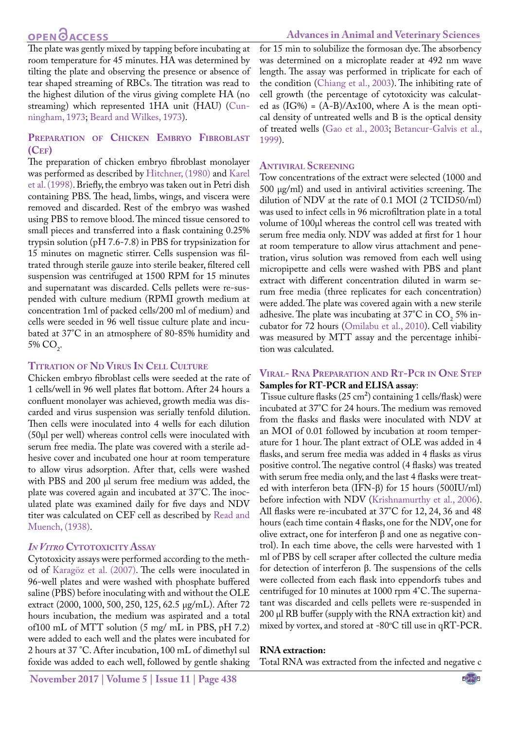# **OPEN**<sub>d</sub>

The plate was gently mixed by tapping before incubating at room temperature for 45 minutes. HA was determined by tilting the plate and observing the presence or absence of tear shaped streaming of RBCs. The titration was read to the highest dilution of the virus giving complete HA (no streaming) which represented 1HA unit (HAU) [\(Cun](#page-7-6)[ningham, 1973;](#page-7-6) [Beard and Wilkes, 1973](#page-7-8)).

# **Preparation of Chicken Embryo Fibroblast (Cef)**

The preparation of chicken embryo fibroblast monolayer was performed as described by [Hitchner, \(1980](#page-7-9)) and [Karel](#page-8-9) [et al. \(1998\).](#page-8-9) Briefly, the embryo was taken out in Petri dish containing PBS. The head, limbs, wings, and viscera were removed and discarded. Rest of the embryo was washed using PBS to remove blood. The minced tissue censored to small pieces and transferred into a flask containing 0.25% trypsin solution (pH 7.6-7.8) in PBS for trypsinization for 15 minutes on magnetic stirrer. Cells suspension was filtrated through sterile gauze into sterile beaker, filtered cell suspension was centrifuged at 1500 RPM for 15 minutes and supernatant was discarded. Cells pellets were re-suspended with culture medium (RPMI growth medium at concentration 1ml of packed cells/200 ml of medium) and cells were seeded in 96 well tissue culture plate and incubated at 37°C in an atmosphere of 80-85% humidity and 5% CO<sub>2</sub>.

### **Titration of Nd Virus In Cell Culture**

Chicken embryo fibroblast cells were seeded at the rate of 1 cells/well in 96 well plates flat bottom. After 24 hours a confluent monolayer was achieved, growth media was discarded and virus suspension was serially tenfold dilution. Then cells were inoculated into 4 wells for each dilution (50µl per well) whereas control cells were inoculated with serum free media. The plate was covered with a sterile adhesive cover and incubated one hour at room temperature to allow virus adsorption. After that, cells were washed with PBS and 200 µl serum free medium was added, the plate was covered again and incubated at 37°C. The inoculated plate was examined daily for five days and NDV titer was calculated on CEF cell as described by [Read and](#page-8-10) [Muench, \(1938](#page-8-10)).

### *In Vitro* **Cytotoxicity Assay**

Cytotoxicity assays were performed according to the method of Karagöz et al. (2007). The cells were inoculated in 96-well plates and were washed with phosphate buffered saline (PBS) before inoculating with and without the OLE extract (2000, 1000, 500, 250, 125, 62.5 µg/mL). After 72 hours incubation, the medium was aspirated and a total of100 mL of MTT solution (5 mg/ mL in PBS, pH 7.2) were added to each well and the plates were incubated for 2 hours at 37 °C. After incubation, 100 mL of dimethyl sul foxide was added to each well, followed by gentle shaking

**November 2017 | Volume 5 | Issue 11 | Page 438**

for 15 min to solubilize the formosan dye. The absorbency was determined on a microplate reader at 492 nm wave length. The assay was performed in triplicate for each of the condition [\(Chiang et al., 2003](#page-7-1)). The inhibiting rate of cell growth (the percentage of cytotoxicity was calculated as  $(IG\%) = (A-B)/Ax100$ , where A is the mean optical density of untreated wells and B is the optical density of treated wells ([Gao et al., 2003;](#page-7-10) [Betancur-Galvis et al.,](#page-7-11)  [1999\)](#page-7-11).

# **Antiviral Screening**

Tow concentrations of the extract were selected (1000 and  $500 \mu g/ml$  and used in antiviral activities screening. The dilution of NDV at the rate of 0.1 MOI (2 TCID50/ml) was used to infect cells in 96 microfiltration plate in a total volume of 100µl whereas the control cell was treated with serum free media only. NDV was added at first for 1 hour at room temperature to allow virus attachment and penetration, virus solution was removed from each well using micropipette and cells were washed with PBS and plant extract with different concentration diluted in warm serum free media (three replicates for each concentration) were added. The plate was covered again with a new sterile adhesive. The plate was incubating at  $37^{\circ}$ C in CO<sub>2</sub> 5% incubator for 72 hours ([Omilabu et al., 2010\)](#page-8-11). Cell viability was measured by MTT assay and the percentage inhibition was calculated.

### **Viral- Rna Preparation and Rt-Pcr in One Step Samples for RT-PCR and ELISA assay**:

 Tissue culture flasks (25 cm²) containing 1 cells/flask) were incubated at 37°C for 24 hours. The medium was removed from the flasks and flasks were inoculated with NDV at an MOI of 0.01 followed by incubation at room temperature for 1 hour. The plant extract of OLE was added in 4 flasks, and serum free media was added in 4 flasks as virus positive control. The negative control (4 flasks) was treated with serum free media only, and the last 4 flasks were treated with interferon beta (IFN-β) for 15 hours (500IU/ml) before infection with NDV [\(Krishnamurthy et al., 2006\)](#page-8-12). All flasks were re-incubated at 37°C for 12, 24, 36 and 48 hours (each time contain 4 flasks, one for the NDV, one for olive extract, one for interferon β and one as negative control). In each time above, the cells were harvested with 1 ml of PBS by cell scraper after collected the culture media for detection of interferon β. The suspensions of the cells were collected from each flask into eppendorfs tubes and centrifuged for 10 minutes at 1000 rpm 4°C. The supernatant was discarded and cells pellets were re-suspended in 200 µl RB buffer (supply with the RNA extraction kit) and mixed by vortex, and stored at -80°C till use in qRT-PCR.

### **RNA extraction:**

Total RNA was extracted from the infected and negative c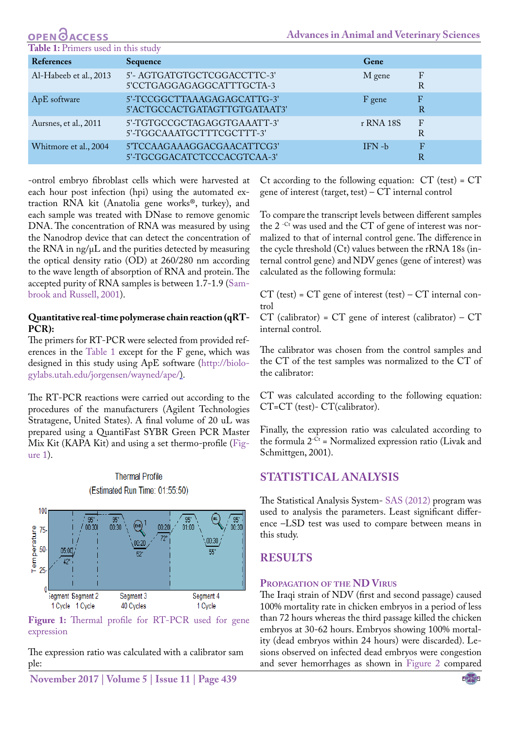| <b>References</b>      | Sequence                                                    | Gene      |                                |
|------------------------|-------------------------------------------------------------|-----------|--------------------------------|
| Al-Habeeb et al., 2013 | 5'- AGTGATGTGCTCGGACCTTC-3'<br>5'CCTGAGGAGAGGCATTTGCTA-3    | M gene    | F<br>R                         |
| ApE software           | 5'-TCCGGCTTAAAGAGAGCATTG-3'<br>5'ACTGCCACTGATAGTTGTGATAAT3' | F gene    | F<br>R                         |
| Aursnes, et al., 2011  | 5'-TGTGCCGCTAGAGGTGAAATT-3'<br>5'-TGGCAAATGCTTTCGCTTT-3'    | r RNA 18S | $\mathbf{F}$<br>R              |
| Whitmore et al., 2004  | 5'TCCAAGAAAGGACGAACATTCG3'<br>5'-TGCGGACATCTCCCACGTCAA-3'   | $IFN - b$ | $\mathbf{F}$<br>$\overline{R}$ |

-ontrol embryo fibroblast cells which were harvested at each hour post infection (hpi) using the automated extraction RNA kit (Anatolia gene works®, turkey), and each sample was treated with DNase to remove genomic DNA. The concentration of RNA was measured by using the Nanodrop device that can detect the concentration of the RNA in  $ng/\mu L$  and the purities detected by measuring the optical density ratio (OD) at 260/280 nm according to the wave length of absorption of RNA and protein. The accepted purity of RNA samples is between 1.7-1.9 (Sambrook and Russell, 2001).

**OPEN**OACCESS

## **Quantitative real-time polymerase chain reaction (qRT-PCR):**

The primers for RT-PCR were selected from provided references in the Table 1 except for the F gene, which was designed in this study using ApE software [\(http://biolo](http://biologylabs.utah.edu/jorgensen/wayned/ape/)(Table)[gylabs.utah.edu/jorgensen/wayned/ape/\).](http://biologylabs.utah.edu/jorgensen/wayned/ape/)(Table)

The RT-PCR reactions were carried out according to the procedures of the manufacturers (Agilent Technologies Stratagene, United States). A final volume of 20 uL was prepared using a QuantiFast SYBR Green PCR Master Mix Kit (KAPA Kit) and using a set thermo-profile ([Fig](#page-3-0)[ure 1\)](#page-3-0).

> **Thermal Profile** (Estimated Run Time: 01:55:50)



<span id="page-3-0"></span>**Figure 1:** Thermal profile for RT-PCR used for gene expression

The expression ratio was calculated with a calibrator sam ple:

**November 2017 | Volume 5 | Issue 11 | Page 439**

Ct according to the following equation: CT (test) = CT gene of interest (target, test) –  $CT$  internal control

To compare the transcript levels between different samples the 2<sup>-Ct</sup> was used and the CT of gene of interest was normalized to that of internal control gene. The difference in the cycle threshold (Ct) values between the rRNA 18s (internal control gene) andNDV genes (gene of interest) was calculated as the following formula:

 $CT$  (test) =  $CT$  gene of interest (test) –  $CT$  internal control

 $CT$  (calibrator) =  $CT$  gene of interest (calibrator) –  $CT$ internal control.

The calibrator was chosen from the control samples and the CT of the test samples was normalized to the CT of the calibrator:

CT was calculated according to the following equation: CT=CT (test)- CT(calibrator).

Finally, the expression ratio was calculated according to the formula  $2^{-Ct}$  = Normalized expression ratio (Livak and Schmittgen, 2001).

# **Statistical Analysis**

The Statistical Analysis System- SAS (2012) program was used to analysis the parameters. Least significant difference –LSD test was used to compare between means in this study.

# **RESULTS**

# **Propagation of the ND Virus**

The Iraqi strain of NDV (first and second passage) caused 100% mortality rate in chicken embryos in a period of less than 72 hours whereas the third passage killed the chicken embryos at 30-62 hours. Embryos showing 100% mortality (dead embryos within 24 hours) were discarded). Lesions observed on infected dead embryos were congestion and sever hemorrhages as shown in [Figure 2](#page-4-0) compared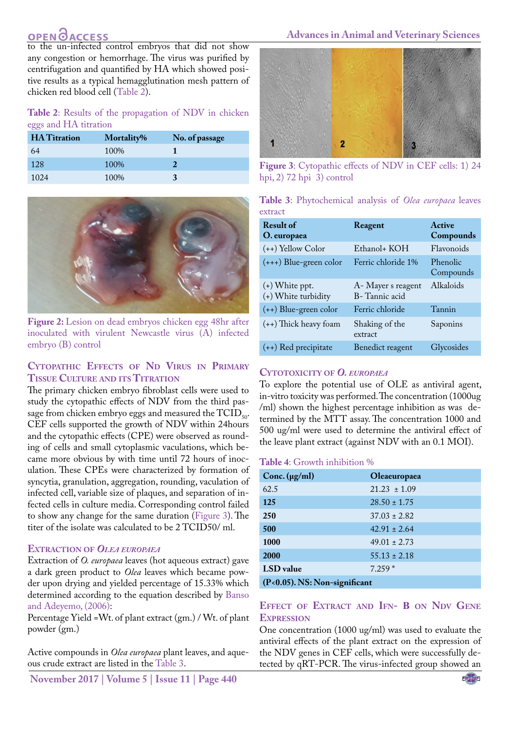# **OPEN GACCESS**

to the un-infected control embryos that did not show any congestion or hemorrhage. The virus was purified by centrifugation and quantified by HA which showed positive results as a typical hemagglutination mesh pattern of chicken red blood cell (Table 2).

**Table 2**: Results of the propagation of NDV in chicken eggs and HA titration

| <b>HA</b> Titration | Mortality% | No. of passage |
|---------------------|------------|----------------|
| 64                  | 100\%      |                |
| 128                 | 100%       |                |
| 1024                | 100\%      |                |



**Figure 2:** Lesion on dead embryos chicken egg 48hr after inoculated with virulent Newcastle virus (A) infected embryo (B) control

# <span id="page-4-0"></span>**Cytopathic Effects of Nd Virus in Primary Tissue Culture and its Titration**

The primary chicken embryo fibroblast cells were used to study the cytopathic effects of NDV from the third passage from chicken embryo eggs and measured the  $TCID_{50}$ . CEF cells supported the growth of NDV within 24hours and the cytopathic effects (CPE) were observed as rounding of cells and small cytoplasmic vaculations, which became more obvious by with time until 72 hours of inoculation. These CPEs were characterized by formation of syncytia, granulation, aggregation, rounding, vaculation of infected cell, variable size of plaques, and separation of infected cells in culture media. Corresponding control failed to show any change for the same duration ([Figure 3\)](#page-4-1). The titer of the isolate was calculated to be 2 TCID50/ ml.

### **Extraction of** *Olea europaea*

Extraction of *O. europaea* leaves (hot aqueous extract) gave a dark green product to *Olea* leaves which became powder upon drying and yielded percentage of 15.33% which determined according to the equation described by [Banso](#page-7-12) [and Adeyemo, \(2006](#page-7-12)):

Percentage Yield =Wt. of plant extract (gm.) / Wt. of plant powder (gm.)

Active compounds in *Olea europaea* plant leaves, and aqueous crude extract are listed in the Table 3.

**November 2017 | Volume 5 | Issue 11 | Page 440**

#### **Advances in Animal and Veterinary Sciences**



**Figure 3**: Cytopathic effects of NDV in CEF cells: 1) 24 hpi, 2) 72 hpi 3) control

<span id="page-4-1"></span>

|         | Table 3: Phytochemical analysis of Olea europaea leaves |  |  |  |
|---------|---------------------------------------------------------|--|--|--|
| extract |                                                         |  |  |  |

| <b>Result of</b><br>O. europaea         | Reagent                             | <b>Active</b><br>Compounds |
|-----------------------------------------|-------------------------------------|----------------------------|
| $(++)$ Yellow Color                     | Ethanol+ KOH                        | Flavonoids                 |
| $(+++)$ Blue-green color                | Ferric chloride 1%                  | Phenolic<br>Compounds      |
| $(+)$ White ppt.<br>(+) White turbidity | A- Mayer s reagent<br>B-Tannic acid | Alkaloids                  |
| $(++)$ Blue-green color                 | Ferric chloride                     | Tannin                     |
| $(+)$ Thick heavy foam                  | Shaking of the<br>extract           | Saponins                   |
| $(++)$ Red precipitate                  | Benedict reagent                    | Glycosides                 |

#### **Cytotoxicity of** *O. europaea*

To explore the potential use of OLE as antiviral agent, in-vitro toxicity was performed. The concentration (1000ug /ml) shown the highest percentage inhibition as was determined by the MTT assay. The concentration 1000 and 500 ug/ml were used to determine the antiviral effect of the leave plant extract (against NDV with an 0.1 MOI).

#### **Table 4**: Growth inhibition %

| Conc. $(\mu g/ml)$               | Oleaeuropaea     |  |
|----------------------------------|------------------|--|
| 62.5                             | $21.23 \pm 1.09$ |  |
| 125                              | $28.50 \pm 1.75$ |  |
| 250                              | $37.03 \pm 2.82$ |  |
| 500                              | $42.91 \pm 2.64$ |  |
| 1000                             | $49.01 \pm 2.73$ |  |
| 2000                             | $55.13 \pm 2.18$ |  |
| LSD value                        | $7.259*$         |  |
| $(P<0.05)$ . NS: Non-significant |                  |  |

## **Effect of Extract and Ifn- Β on Ndv Gene Expression**

One concentration (1000 ug/ml) was used to evaluate the antiviral effects of the plant extract on the expression of the NDV genes in CEF cells, which were successfully detected by qRT-PCR. The virus-infected group showed an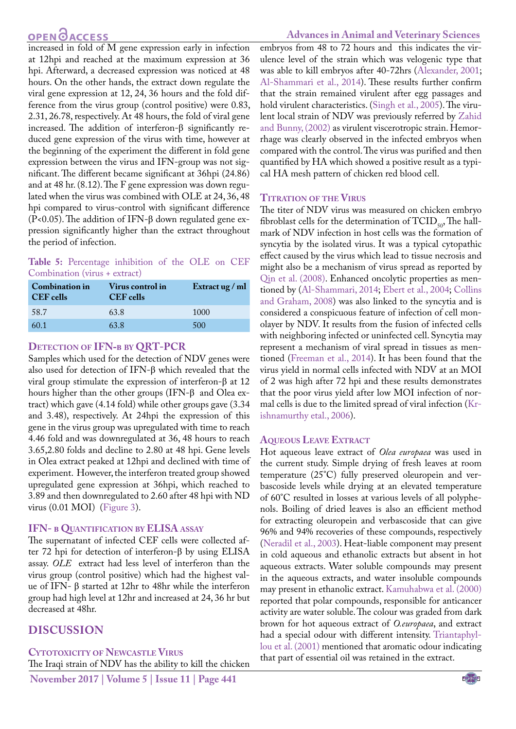# **OPEN GACCESS**

increased in fold of M gene expression early in infection at 12hpi and reached at the maximum expression at 36 hpi. Afterward, a decreased expression was noticed at 48 hours. On the other hands, the extract down regulate the viral gene expression at 12, 24, 36 hours and the fold difference from the virus group (control positive) were 0.83, 2.31, 26.78, respectively. At 48 hours, the fold of viral gene increased. The addition of interferon-β significantly reduced gene expression of the virus with time, however at the beginning of the experiment the different in fold gene expression between the virus and IFN-group was not significant. The different became significant at 36hpi (24.86) and at 48 hr. (8.12). The F gene expression was down regulated when the virus was combined with OLE at 24, 36, 48 hpi compared to virus-control with significant difference (P<0.05). The addition of IFN- $\beta$  down regulated gene expression significantly higher than the extract throughout the period of infection.

**Table 5:** Percentage inhibition of the OLE on CEF Combination (virus + extract)

| <b>Combination in</b><br>CEF cells | Virus control in<br><b>CEF</b> cells | Extract ug / ml |
|------------------------------------|--------------------------------------|-----------------|
| 58.7                               | 63.8                                 | 1000            |
| 60.1                               | 63.8                                 | 500             |

#### **Detection of IFN-β by QRT-PCR**

Samples which used for the detection of NDV genes were also used for detection of IFN-β which revealed that the viral group stimulate the expression of interferon-β at 12 hours higher than the other groups (IFN-β and Olea extract) which gave (4.14 fold) while other groups gave (3.34 and 3.48), respectively. At 24hpi the expression of this gene in the virus group was upregulated with time to reach 4.46 fold and was downregulated at 36, 48 hours to reach 3.65,2.80 folds and decline to 2.80 at 48 hpi. Gene levels in Olea extract peaked at 12hpi and declined with time of experiment. However, the interferon treated group showed upregulated gene expression at 36hpi, which reached to 3.89 and then downregulated to 2.60 after 48 hpi with ND virus (0.01 MOI) ([Figure 3](#page-4-1)).

### **IFN- β Quantification by ELISA assay**

The supernatant of infected CEF cells were collected after 72 hpi for detection of interferon-β by using ELISA assay. *OLE* extract had less level of interferon than the virus group (control positive) which had the highest value of IFN- β started at 12hr to 48hr while the interferon group had high level at 12hr and increased at 24, 36 hr but decreased at 48hr.

# **Discussion**

### **Cytotoxicity of Newcastle Virus**

The Iraqi strain of NDV has the ability to kill the chicken

**November 2017 | Volume 5 | Issue 11 | Page 441**

embryos from 48 to 72 hours and this indicates the virulence level of the strain which was velogenic type that was able to kill embryos after 40-72hrs ([Alexander, 2001](#page-7-13); [Al-Shammari et al., 2014](#page-7-14)). These results further confirm that the strain remained virulent after egg passages and hold virulent characteristics. (Singh et al., 2005). The virulent local strain of NDV was previously referred by Zahid and Bunny, (2002) as virulent viscerotropic strain. Hemorrhage was clearly observed in the infected embryos when compared with the control. The virus was purified and then quantified by HA which showed a positive result as a typical HA mesh pattern of chicken red blood cell.

### **Titration of the Virus**

The titer of NDV virus was measured on chicken embryo fibroblast cells for the determination of  $\text{TCID}_{50}$ , The hallmark of NDV infection in host cells was the formation of syncytia by the isolated virus. It was a typical cytopathic effect caused by the virus which lead to tissue necrosis and might also be a mechanism of virus spread as reported by [Qin et al. \(2008\)](#page-8-13). Enhanced oncolytic properties as mentioned by [\(Al-Shammari, 2014](#page-7-14); [Ebert et al., 2004](#page-7-15); [Collins](#page-7-16)  [and Graham, 2008](#page-7-16)) was also linked to the syncytia and is considered a conspicuous feature of infection of cell monolayer by NDV. It results from the fusion of infected cells with neighboring infected or uninfected cell. Syncytia may represent a mechanism of viral spread in tissues as mentioned ([Freeman et al., 2014\)](#page-7-17). It has been found that the virus yield in normal cells infected with NDV at an MOI of 2 was high after 72 hpi and these results demonstrates that the poor virus yield after low MOI infection of normal cells is due to the limited spread of viral infection ([Kr](#page-8-12)[ishnamurthy etal., 2006](#page-8-12)).

### **Aqueous Leave Extract**

Hot aqueous leave extract of *Olea europaea* was used in the current study. Simple drying of fresh leaves at room temperature (25°C) fully preserved oleuropein and verbascoside levels while drying at an elevated temperature of 60°C resulted in losses at various levels of all polyphenols. Boiling of dried leaves is also an efficient method for extracting oleuropein and verbascoside that can give 96% and 94% recoveries of these compounds, respectively ([Neradil et al., 2003](#page-8-14)). Heat-liable component may present in cold aqueous and ethanolic extracts but absent in hot aqueous extracts. Water soluble compounds may present in the aqueous extracts, and water insoluble compounds may present in ethanolic extract. [Kamuhabwa et al. \(2000\)](#page-8-15)  reported that polar compounds, responsible for anticancer activity are water soluble. The colour was graded from dark brown for hot aqueous extract of *O.europaea*, and extract had a special odour with different intensity. Triantaphyllou et al. (2001) mentioned that aromatic odour indicating that part of essential oil was retained in the extract.

NE**X**US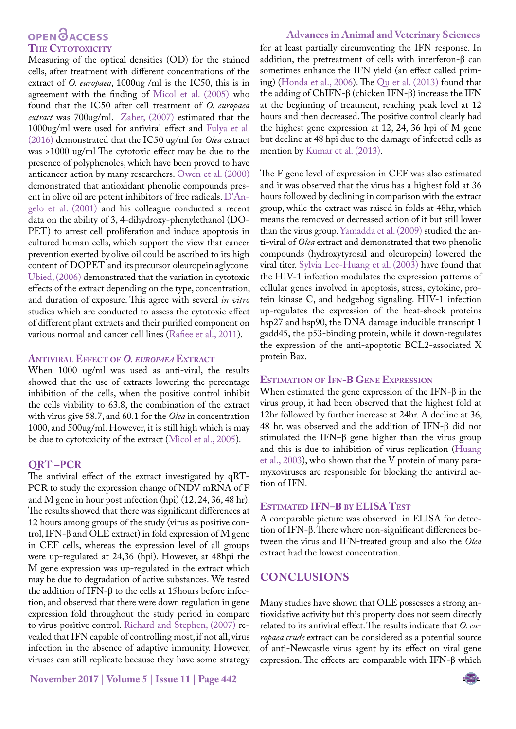# **OPEN CACCESS The Cytotoxicity**

Measuring of the optical densities (OD) for the stained cells, after treatment with different concentrations of the extract of *O. europaea*, 1000ug /ml is the IC50, this is in agreement with the finding of [Micol et al. \(2005\)](#page-8-6) who found that the IC50 after cell treatment of *O. europaea extract* was 700ug/ml. Zaher, (2007) estimated that the 1000ug/ml were used for antiviral effect and [Fulya et al.](#page-7-18) [\(2016\) d](#page-7-18)emonstrated that the IC50 ug/ml for *Olea* extract was >1000 ug/ml The cytotoxic effect may be due to the presence of polyphenoles, which have been proved to have anticancer action by many researchers. [Owen et al. \(2000\)](#page-8-16) demonstrated that antioxidant phenolic compounds present in olive oil are potent inhibitors of free radicals. D'Angelo et al. (2001) and his colleague conducted a recent data on the ability of 3, 4-dihydroxy-phenylethanol (DO-PET) to arrest cell proliferation and induce apoptosis in cultured human cells, which support the view that cancer prevention exerted by olive oil could be ascribed to its high content of DOPET and its precursor oleuropein aglycone. Ubied, (2006) demonstrated that the variation in cytotoxic effects of the extract depending on the type, concentration, and duration of exposure. This agree with several *in vitro* studies which are conducted to assess the cytotoxic effect of different plant extracts and their purified component on various normal and cancer cell lines [\(Rafiee et al., 2011\)](#page-8-17).

### **Antiviral Effect of** *O. europaea* **Extract**

When 1000 ug/ml was used as anti-viral, the results showed that the use of extracts lowering the percentage inhibition of the cells, when the positive control inhibit the cells viability to 63.8, the combination of the extract with virus give 58.7, and 60.1 for the *Olea* in concentration 1000, and 500ug/ml. However, it is still high which is may be due to cytotoxicity of the extract [\(Micol et al., 2005\)](#page-8-6).

#### **QRT –PCR**

The antiviral effect of the extract investigated by qRT-PCR to study the expression change of NDV mRNA of F and M gene in hour post infection (hpi) (12, 24, 36, 48 hr). The results showed that there was significant differences at 12 hours among groups of the study (virus as positive control, IFN-β and OLE extract) in fold expression of M gene in CEF cells, whereas the expression level of all groups were up-regulated at 24,36 (hpi). However, at 48hpi the M gene expression was up-regulated in the extract which may be due to degradation of active substances. We tested the addition of IFN-β to the cells at 15hours before infection, and observed that there were down regulation in gene expression fold throughout the study period in compare to virus positive control. [Richard and Stephen, \(2007\)](#page-8-18) revealed that IFN capable of controlling most, if not all, virus infection in the absence of adaptive immunity. However, viruses can still replicate because they have some strategy

for at least partially circumventing the IFN response. In addition, the pretreatment of cells with interferon-β can sometimes enhance the IFN yield (an effect called priming) [\(Honda et al., 2006](#page-8-19)). The [Qu et al. \(2013\)](#page-8-20) found that the adding of ChIFN-β (chicken IFN-β) increase the IFN at the beginning of treatment, reaching peak level at 12 hours and then decreased. The positive control clearly had the highest gene expression at 12, 24, 36 hpi of M gene but decline at 48 hpi due to the damage of infected cells as mention by [Kumar et al. \(2013\).](#page-8-4)

The F gene level of expression in CEF was also estimated and it was observed that the virus has a highest fold at 36 hours followed by declining in comparison with the extract group, while the extract was raised in folds at 48hr, which means the removed or decreased action of it but still lower than the virus group. Yamadda et al. (2009) studied the anti-viral of *Olea* extract and demonstrated that two phenolic compounds (hydroxytyrosal and oleuropein) lowered the viral titer. Sylvia Lee-Huang et al. (2003) have found that the HIV-1 infection modulates the expression patterns of cellular genes involved in apoptosis, stress, cytokine, protein kinase C, and hedgehog signaling. HIV-1 infection up-regulates the expression of the heat-shock proteins hsp27 and hsp90, the DNA damage inducible transcript 1 gadd45, the p53-binding protein, while it down-regulates the expression of the anti-apoptotic BCL2-associated X protein Bax.

#### **Estimation of Ifn-Β Gene Expression**

When estimated the gene expression of the IFN-β in the virus group, it had been observed that the highest fold at 12hr followed by further increase at 24hr. A decline at 36, 48 hr. was observed and the addition of IFN-β did not stimulated the IFN–β gene higher than the virus group and this is due to inhibition of virus replication ([Huang](#page-8-21)  [et al., 2003\)](#page-8-21), who shown that the V protein of many paramyxoviruses are responsible for blocking the antiviral action of IFN.

### **Estimated IFN–Β by ELISA Test**

A comparable picture was observed in ELISA for detection of IFN-β. There where non-significant differences between the virus and IFN-treated group and also the *Olea* extract had the lowest concentration.

# **Conclusions**

Many studies have shown that OLE possesses a strong antioxidative activity but this property does not seem directly related to its antiviral effect. The results indicate that *O. europaea crude* extract can be considered as a potential source of anti-Newcastle virus agent by its effect on viral gene expression. The effects are comparable with IFN-β which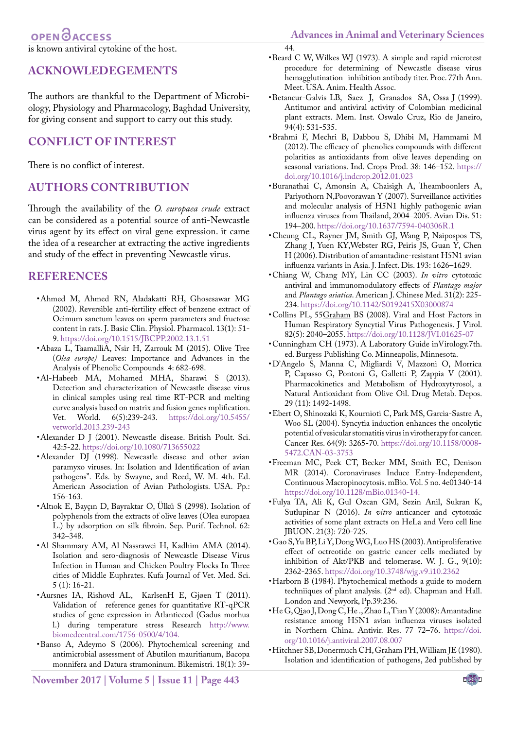# OPEN **OACCESS**

is known antiviral cytokine of the host.

# **Acknowledegements**

The authors are thankful to the Department of Microbiology, Physiology and Pharmacology, Baghdad University, for giving consent and support to carry out this study.

# **Conflict of Interest**

There is no conflict of interest.

# **Authors Contribution**

Through the availability of the *O. europaea crude* extract can be considered as a potential source of anti-Newcastle virus agent by its effect on viral gene expression. it came the idea of a researcher at extracting the active ingredients and study of the effect in preventing Newcastle virus.

# **REFERENCES**

- <span id="page-7-3"></span>• Ahmed M, Ahmed RN, Aladakatti RH, Ghosesawar MG (2002). Reversible anti-fertility effect of benzene extract of Ocimum sanctum leaves on sperm parameters and fructose content in rats. J. Basic Clin. Physiol. Pharmacol. 13(1): 51- 9. <https://doi.org/10.1515/JBCPP.2002.13.1.51>
- <span id="page-7-4"></span>• Abaza L, TaamalliA, Nsir H, Zarrouk M (2015). Olive Tree (*Olea europe)* Leaves: Importance and Advances in the Analysis of Phenolic Compounds 4: 682-698.
- • Al-Habeeb MA, Mohamed MHA, Sharawi S (2013). Detection and characterization of Newcastle disease virus in clinical samples using real time RT-PCR and melting curve analysis based on matrix and fusion genes mplification. Vet. World. 6(5):239-243. [https://doi.org/10.5455/](https://doi.org/10.5455/vetworld.2013.239-243 ) [vetworld.2013.239-243](https://doi.org/10.5455/vetworld.2013.239-243 )
- <span id="page-7-13"></span>• Alexander D J (2001). Newcastle disease. British Poult. Sci. 42:5-22. [https://doi.org/10.1080/713655022](https://doi.org/10.1080/713655022 )
- <span id="page-7-7"></span>• Alexander DJ (1998). Newcastle disease and other avian paramyxo viruses. In: Isolation and Identification of avian pathogens". Eds. by Swayne, and Reed, W. M. 4th. Ed. American Association of Avian Pathologists. USA. Pp.: 156-163.
- • Altıok E, Bayçın D, Bayraktar O, Ülkü S (2998). Isolation of polyphenols from the extracts of olive leaves (Olea europaea L.) by adsorption on silk fibroin. Sep. Purif. Technol. 62: 342–348.
- <span id="page-7-14"></span>• Al-Shammary AM, Al-Nassrawei H, Kadhim AMA (2014). Isolation and sero-diagnosis of Newcastle Disease Virus Infection in Human and Chicken Poultry Flocks In Three cities of Middle Euphrates. Kufa Journal of Vet. Med. Sci. 5 (1): 16-21.
- • Aursnes IA, Rishovd AL, KarlsenH E, Gjøen T (2011). Validation of reference genes for quantitative RT-qPCR studies of gene expression in Atlanticcod (Gadus morhua l.) during temperature stress Research [http://www.]( http://www.biomedcentral.com/1756-0500/4/104. ) [biomedcentral.com/1756-0500/4/104.]( http://www.biomedcentral.com/1756-0500/4/104. )
- <span id="page-7-12"></span>• Banso A, Adeymo S (2006). Phytochemical screening and antimicrobial assessment of Abutilon mauritianum, Bacopa monnifera and Datura stramoninum. Bikemistri. 18(1): 39-

• Beard C W, Wilkes WJ (1973). A simple and rapid microtest procedure for determining of Newcastle disease virus hemagglutination- inhibition antibody titer. Proc. 77th Ann. Meet. USA. Anim. Health Assoc.

<span id="page-7-8"></span>44.

- <span id="page-7-11"></span>• Betancur-Galvis LB, Saez J, Granados SA, Ossa J (1999). Antitumor and antiviral activity of Colombian medicinal plant extracts. Mem. Inst. Oswalo Cruz, Rio de Janeiro, 94(4): 531-535.
- • Brahmi F, Mechri B, Dabbou S, Dhibi M, Hammami M (2012). The efficacy of phenolics compounds with different polarities as antioxidants from olive leaves depending on seasonal variations. Ind. Crops Prod. 38: 146–152. [https://](https://doi.org/10.1016/j.indcrop.2012.01.023 ) [doi.org/10.1016/j.indcrop.2012.01.023](https://doi.org/10.1016/j.indcrop.2012.01.023 )
- <span id="page-7-0"></span>• Buranathai C, Amonsin A, Chaisigh A, Theamboonlers A, Pariyothorn N,Poovorawan Y (2007). Surveillance activities and molecular analysis of H5N1 highly pathogenic avian influenza viruses from Thailand, 2004–2005. Avian Dis. 51: 194–200. [https://doi.org/10.1637/7594-040306R.1](https://doi.org/10.1637/7594-040306R.1 )
- <span id="page-7-1"></span>• Cheung CL, Rayner JM, Smith GJ, Wang P, Naipospos TS, Zhang J, Yuen KY,Webster RG, Peiris JS, Guan Y, Chen H (2006). Distribution of amantadine-resistant H5N1 avian influenza variants in Asia. J. Infect. Dis. 193: 1626–1629.
- • Chiang W, Chang MY, Lin CC (2003). *In vitro* cytotoxic antiviral and immunomodulatory effects of *Plantago major* and *Plantago asiatica*. American J. Chinese Med. 31(2): 225- 234[. https://doi.org/10.1142/S0192415X03000874]( https://doi.org/10.1142/S0192415X03000874 )
- <span id="page-7-16"></span>• Collins PL, 55[Graham](D%22Graham) BS (2008). Viral and Host Factors in Human Respiratory Syncytial Virus Pathogenesis. J Virol. 82(5): 2040–2055. [https://doi.org/10.1128/JVI.01625-07](https://doi.org/10.1128/JVI.01625-07 )
- <span id="page-7-6"></span>• Cunningham CH (1973). A Laboratory Guide inVirology.7th. ed. Burgess Publishing Co. Minneapolis, Minnesota.
- • D'Angelo S, Manna C, Migliardi V, Mazzoni O, Morrica P, Capasso G, Pontoni G, Galletti P, Zappia V (2001). Pharmacokinetics and Metabolism of Hydroxytyrosol, a Natural Antioxidant from Olive Oil. Drug Metab. Depos. 29 (11): 1492-1498.
- <span id="page-7-15"></span>• Ebert O, Shinozaki K, Kournioti C, Park MS, Garcia-Sastre A, Woo SL (2004). Syncytia induction enhances the oncolytic potential of vesicular stomatitis virus in virotherapy for cancer. Cancer Res. 64(9): 3265-70. [https://doi.org/10.1158/0008-](https://doi.org/10.1158/0008-5472.CAN-03-3753 ) [5472.CAN-03-3753](https://doi.org/10.1158/0008-5472.CAN-03-3753 )
- <span id="page-7-17"></span>• Freeman MC, Peek CT, Becker MM, Smith EC, Denison MR (2014). Coronaviruses Induce Entry-Independent, Continuous Macropinocytosis. mBio. Vol. 5 no. 4e01340-14 [https://doi.org/10.1128/mBio.01340-14.](https://doi.org/10.1128/mBio.01340-14. )
- <span id="page-7-18"></span>• Fulya TA, Ali K, Gul Ozcan GM, Sezin Anil, Sukran K, Sutlupinar N (2016). *In vitro* anticancer and cytotoxic activities of some plant extracts on HeLa and Vero cell line JBUON. 21(3): 720-725.
- <span id="page-7-10"></span>• Gao S, Yu BP, Li Y, Dong WG, Luo HS (2003). Antiproliferative effect of octreotide on gastric cancer cells mediated by inhibition of Akt/PKB and telomerase. W. J. G., 9(10): 2362-2365[. https://doi.org/10.3748/wjg.v9.i10.2362]( https://doi.org/10.3748/wjg.v9.i10.2362 )
- <span id="page-7-5"></span>• Harborn B (1984). Phytochemical methods a guide to modern techniiques of plant analysis. (2nd ed). Chapman and Hall. London and Newyork, Pp.39:236.
- <span id="page-7-2"></span>• He G, Qiao J, Dong C, He ., Zhao L, Tian Y (2008): Amantadine resistance among H5N1 avian influenza viruses isolated in Northern China. Antivir. Res. 77 72–76. [https://doi.](https://doi.org/10.1016/j.antiviral.2007.08.007 ) [org/10.1016/j.antiviral.2007.08.007](https://doi.org/10.1016/j.antiviral.2007.08.007 )
- <span id="page-7-9"></span>• Hitchner SB, Donermuch CH, Graham PH, William JE (1980). Isolation and identification of pathogens, 2ed published by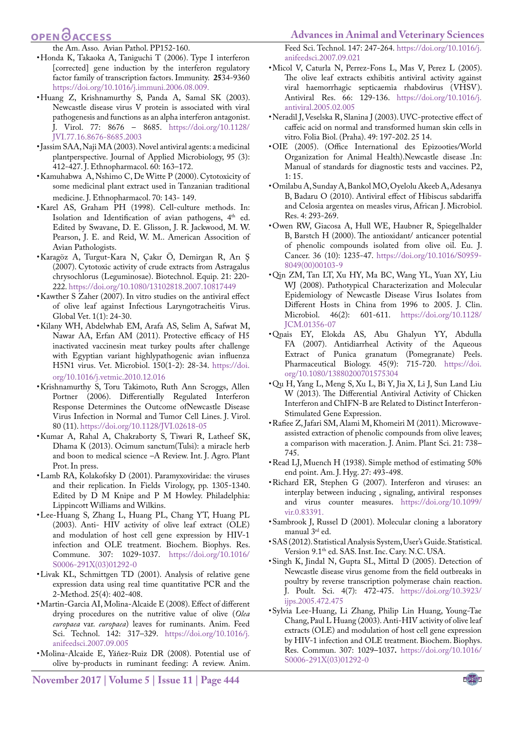# **OPEN**<sub>d</sub>

<span id="page-8-19"></span>the Am. Asso. Avian Pathol. PP152-160.

- • Honda K, Takaoka A, Taniguchi T (2006). Type I interferon [corrected] gene induction by the interferon regulatory factor family of transcription factors. Immunity.  **25**34-9360 [https://doi.org/10.1016/j.immuni.2006.08.009.](https://doi.org/10.1016/j.immuni.2006.08.009.  )
- <span id="page-8-21"></span>• Huang Z, Krishnamurthy S, Panda A, Samal SK (2003). Newcastle disease virus V protein is associated with viral pathogenesis and functions as an alpha interferon antagonist. J. Virol. 77: 8676 – 8685. [https://doi.org/10.1128/](https://doi.org/10.1128/JVI.77.16.8676-8685.2003 ) [JVI.77.16.8676-8685.2003](https://doi.org/10.1128/JVI.77.16.8676-8685.2003 )
- <span id="page-8-3"></span>• Jassim SAA, Naji MA (2003).Novel antiviral agents: a medicinal plantperspective. Journal of Applied Microbiology, 95 (3): 412-427. J. Ethnopharmacol. 60: 163–172.
- <span id="page-8-15"></span>• Kamuhabwa A, Nshimo C, De Witte P (2000). Cytotoxicity of some medicinal plant extract used in Tanzanian traditional medicine. J. Ethnopharmacol. 70: 143- 149.
- <span id="page-8-9"></span>• Karel AS, Graham PH (1998). Cell-culture methods. In: Isolation and Identification of avian pathogens, 4<sup>th</sup> ed. Edited by Swavane, D. E. Glisson, J. R. Jackwood, M. W. Pearson, J. E. and Reid, W. M.. American Assocition of Avian Pathologists.
- • Karagöz A, Turgut-Kara N, Çakır Ö, Demirgan R, Arı Ş (2007). Cytotoxic activity of crude extracts from Astragalus chrysochlorus (Leguminosae). Biotechnol. Equip. 21: 220- 222.<https://doi.org/10.1080/13102818.2007.10817449>
- <span id="page-8-8"></span>• Kawther S Zaher (2007). In vitro studies on the antiviral effect of olive leaf against Infectious Laryngotracheitis Virus. Global Vet. 1(1): 24-30.
- <span id="page-8-2"></span>• Kilany WH, Abdelwhab EM, Arafa AS, Selim A, Safwat M, Nawar AA, Erfan AM (2011). Protective efficacy of H5 inactivated vaccinesin meat turkey poults after challenge with Egyptian variant highlypathogenic avian influenza H5N1 virus. Vet. Microbiol. 150(1-2): 28-34. [https://doi.](https://doi.org/10.1016/j.vetmic.2010.12.016 ) [org/10.1016/j.vetmic.2010.12.016](https://doi.org/10.1016/j.vetmic.2010.12.016 )
- <span id="page-8-12"></span>• Krishnamurthy S, Toru Takimoto, Ruth Ann Scroggs, Allen Portner (2006). Differentially Regulated Interferon Response Determines the Outcome ofNewcastle Disease Virus Infection in Normal and Tumor Cell Lines. J. Virol. 80 (11). [https://doi.org/10.1128/JVI.02618-05](https://doi.org/10.1128/JVI.02618-05 )
- <span id="page-8-4"></span>• Kumar A, Rahal A, Chakraborty S, Tiwari R, Latheef SK, Dhama K (2013). Ocimum sanctum(Tulsi): a miracle herb and boon to medical science –A Review. Int. J. Agro. Plant Prot. In press.
- <span id="page-8-1"></span>• Lamb RA, Kolakofsky D (2001). Paramyxoviridae: the viruses and their replication. In Fields Virology, pp. 1305-1340. Edited by D M Knipe and P M Howley. Philadelphia: Lippincott Williams and Wilkins.
- <span id="page-8-7"></span>• Lee-Huang S, Zhang L, Huang PL, Chang YT, Huang PL (2003). Anti- HIV activity of olive leaf extract (OLE) and modulation of host cell gene expression by HIV-1 infection and OLE treatment. Biochem. Biophys. Res. Commune. 307: 1029-1037. [https://doi.org/10.1016/](https://doi.org/10.1016/S0006-291X(03)01292-0 ) [S0006-291X\(03\)01292-0](https://doi.org/10.1016/S0006-291X(03)01292-0 )
- • Livak KL, Schmittgen TD (2001). Analysis of relative gene expression data using real time quantitative PCR and the 2-Method. 25(4): 402-408.
- <span id="page-8-5"></span>• Martin-Garcia AI, Molina-Alcaide E (2008). Effect of different drying procedures on the nutritive value of olive (*Olea europaea* var. *europaea*) leaves for ruminants. Anim. Feed Sci. Technol. 142: 317–329. [https://doi.org/10.1016/j.](https://doi.org/10.1016/j.anifeedsci.2007.09.005 ) [anifeedsci.2007.09.005](https://doi.org/10.1016/j.anifeedsci.2007.09.005 )
- • Molina-Alcaide E, Yáňez-Ruiz DR (2008). Potential use of olive by-products in ruminant feeding: A review. Anim.

#### **Advances in Animal and Veterinary Sciences**

Feed Sci. Technol. 147: 247-264. [https://doi.org/10.1016/j.](https://doi.org/10.1016/j.anifeedsci.2007.09.021 ) [anifeedsci.2007.09.021](https://doi.org/10.1016/j.anifeedsci.2007.09.021 )

- <span id="page-8-6"></span>• Micol V, Caturla N, Perrez-Fons L, Mas V, Perez L (2005). The olive leaf extracts exhibitis antiviral activity against viral haemorrhagic septicaemia rhabdovirus (VHSV). Antiviral Res. 66: 129-136. [https://doi.org/10.1016/j.](https://doi.org/10.1016/j.antiviral.2005.02.005 ) [antiviral.2005.02.005](https://doi.org/10.1016/j.antiviral.2005.02.005 )
- <span id="page-8-14"></span>• Neradil J, Veselska R, Slanina J (2003). UVC-protective effect of caffeic acid on normal and transformed human skin cells in vitro. Folia Biol. (Praha). 49: 197-202. 25 14.
- <span id="page-8-0"></span>• OIE (2005). (Office International des Epizooties/World Organization for Animal Health).Newcastle disease .In: Manual of standards for diagnostic tests and vaccines. P2, 1: 15.
- <span id="page-8-11"></span>• Omilabu A, Sunday A, Bankol MO, Oyelolu Akeeb A, Adesanya B, Badaru O (2010). Antiviral effect of Hibiscus sabdariffa and Celosia argentea on measles virus, African J. Microbiol. Res. 4: 293-269.
- <span id="page-8-16"></span>• Owen RW, Giacosa A, Hull WE, Haubner R, Spiegelhalder B, Barstch H (2000). The antioxidant/ anticancer potential of phenolic compounds isolated from olive oil. Eu. J. Cancer. 36 (10): 1235-47. [https://doi.org/10.1016/S0959-](https://doi.org/10.1016/S0959-8049(00)00103-9 ) [8049\(00\)00103-9](https://doi.org/10.1016/S0959-8049(00)00103-9 )
- <span id="page-8-13"></span>• Qin ZM, Tan LT, Xu HY, Ma BC, Wang YL, Yuan XY, Liu WJ (2008). Pathotypical Characterization and Molecular Epidemiology of Newcastle Disease Virus Isolates from Different Hosts in China from 1996 to 2005. J. Clin. Microbiol. 46(2): 601-611. [https://doi.org/10.1128/](https://doi.org/10.1128/JCM.01356-07 ) [JCM.01356-07](https://doi.org/10.1128/JCM.01356-07 )
- • Qnais EY, Elokda AS, Abu Ghalyun YY, Abdulla FA (2007). Antidiarrheal Activity of the Aqueous Extract of Punica granatum (Pomegranate) Peels. Pharmaceutical Biology. 45(9): 715-720. [https://doi.](https://doi.org/10.1080/13880200701575304 ) [org/10.1080/13880200701575304](https://doi.org/10.1080/13880200701575304 )
- <span id="page-8-20"></span>• Qu H, Yang L, Meng S, Xu L, Bi Y, Jia X, Li J, Sun Land Liu W (2013). The Differential Antiviral Activity of Chicken Interferon and ChIFN-B are Related to Distinct Interferon-Stimulated Gene Expression.
- <span id="page-8-17"></span>• Rafiee Z, Jafari SM, Alami M, Khomeiri M (2011). Microwaveassisted extraction of phenolic compounds from olive leaves; a comparison with maceration. J. Anim. Plant Sci. 21: 738– 745.
- <span id="page-8-10"></span>• Read LJ, Muench H (1938). Simple method of estimating 50% end point. Am. J. Hyg. 27: 493-498.
- <span id="page-8-18"></span>• Richard ER, Stephen G (2007). Interferon and viruses: an interplay between inducing , signaling, antiviral responses and virus counter measures. [https://doi.org/10.1099/](https://doi.org/10.1099/vir.0.83391. ) [vir.0.83391.](https://doi.org/10.1099/vir.0.83391. )
- Sambrook J, Russel D (2001). Molecular cloning a laboratory manual 3rd ed.
- SAS (2012). Statistical Analysis System, User's Guide. Statistical. Version 9.1th ed. SAS. Inst. Inc. Cary. N.C. USA.
- Singh K, Jindal N, Gupta SL, Mittal D (2005). Detection of Newcastle disease virus genome from the field outbreaks in poultry by reverse transcription polymerase chain reaction. J. Poult. Sci. 4(7): 472-475. [https://doi.org/10.3923/](https://doi.org/10.3923/ijps.2005.472.475 ) [ijps.2005.472.475](https://doi.org/10.3923/ijps.2005.472.475 )
- • Sylvia Lee-Huang, Li Zhang, Philip Lin Huang, Young-Tae Chang, Paul L Huang (2003). Anti-HIV activity of olive leaf extracts (OLE) and modulation of host cell gene expression by HIV-1 infection and OLE treatment. Biochem. Biophys. Res. Commun. 307: 1029–1037**.** [https://doi.org/10.1016/]( https://doi.org/10.1016/S0006-291X(03)01292-0 ) [S0006-291X\(03\)01292-0]( https://doi.org/10.1016/S0006-291X(03)01292-0 )